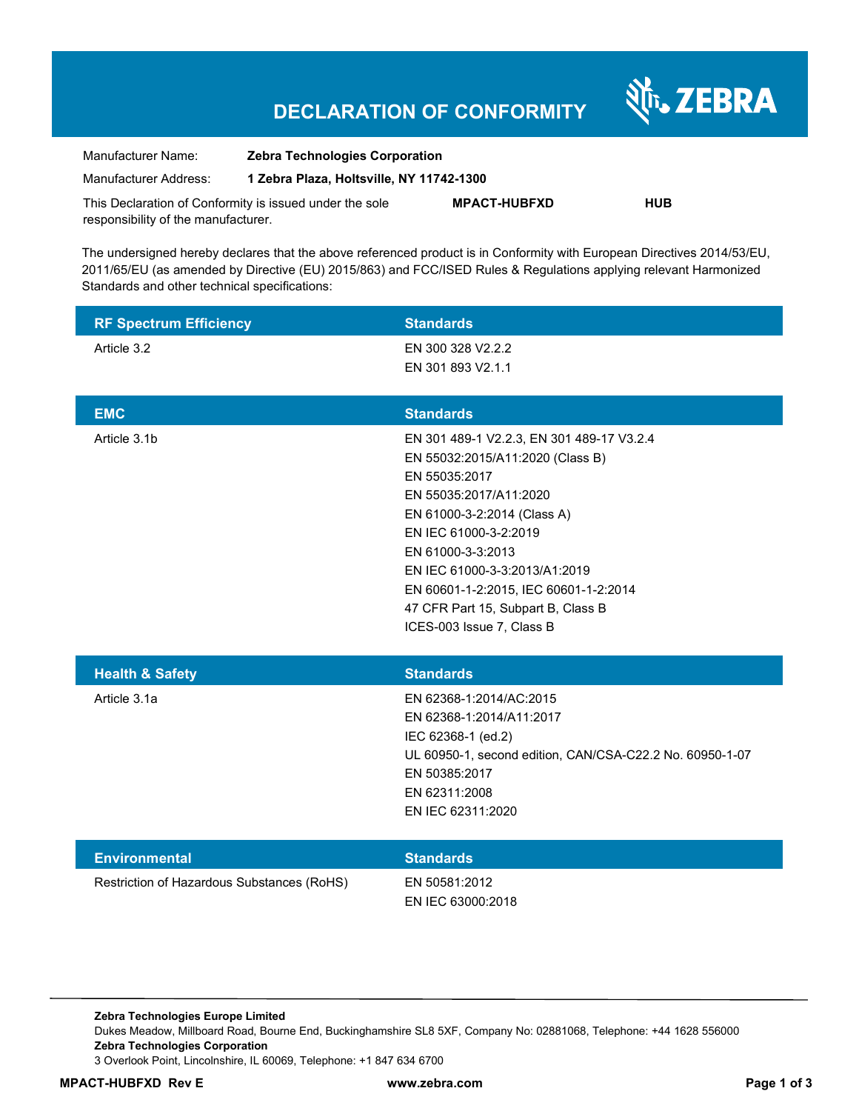# **DECLARATION OF CONFORMITY**

Nr. ZEBRA

| Manufacturer Name:                                      | <b>Zebra Technologies Corporation</b>    |                     |            |  |
|---------------------------------------------------------|------------------------------------------|---------------------|------------|--|
| Manufacturer Address:                                   | 1 Zebra Plaza, Holtsville, NY 11742-1300 |                     |            |  |
| This Declaration of Conformity is issued under the sole |                                          | <b>MPACT-HUBFXD</b> | <b>HUB</b> |  |
| responsibility of the manufacturer.                     |                                          |                     |            |  |

The undersigned hereby declares that the above referenced product is in Conformity with European Directives 2014/53/EU, 2011/65/EU (as amended by Directive (EU) 2015/863) and FCC/ISED Rules & Regulations applying relevant Harmonized Standards and other technical specifications:

| <b>RF Spectrum Efficiency</b>              | <b>Standards</b>                                                                                                                                                                                                                                                                                                                                   |
|--------------------------------------------|----------------------------------------------------------------------------------------------------------------------------------------------------------------------------------------------------------------------------------------------------------------------------------------------------------------------------------------------------|
| Article 3.2                                | EN 300 328 V2.2.2<br>EN 301 893 V2.1.1                                                                                                                                                                                                                                                                                                             |
| <b>EMC</b>                                 | <b>Standards</b>                                                                                                                                                                                                                                                                                                                                   |
| Article 3.1b                               | EN 301 489-1 V2.2.3, EN 301 489-17 V3.2.4<br>EN 55032:2015/A11:2020 (Class B)<br>EN 55035:2017<br>EN 55035:2017/A11:2020<br>EN 61000-3-2:2014 (Class A)<br>EN IEC 61000-3-2:2019<br>EN 61000-3-3:2013<br>EN IEC 61000-3-3:2013/A1:2019<br>EN 60601-1-2:2015, IEC 60601-1-2:2014<br>47 CFR Part 15, Subpart B, Class B<br>ICES-003 Issue 7, Class B |
| <b>Health &amp; Safety</b>                 | <b>Standards</b>                                                                                                                                                                                                                                                                                                                                   |
| Article 3.1a                               | EN 62368-1:2014/AC:2015<br>EN 62368-1:2014/A11:2017<br>IEC 62368-1 (ed.2)<br>UL 60950-1, second edition, CAN/CSA-C22.2 No. 60950-1-07<br>EN 50385:2017<br>EN 62311:2008<br>EN IEC 62311:2020                                                                                                                                                       |
| <b>Environmental</b>                       | <b>Standards</b>                                                                                                                                                                                                                                                                                                                                   |
| Restriction of Hazardous Substances (RoHS) | EN 50581:2012<br>EN IEC 63000:2018                                                                                                                                                                                                                                                                                                                 |

**Zebra Technologies Europe Limited**  Dukes Meadow, Millboard Road, Bourne End, Buckinghamshire SL8 5XF, Company No: 02881068, Telephone: +44 1628 556000 **Zebra Technologies Corporation**  3 Overlook Point, Lincolnshire, IL 60069, Telephone: +1 847 634 6700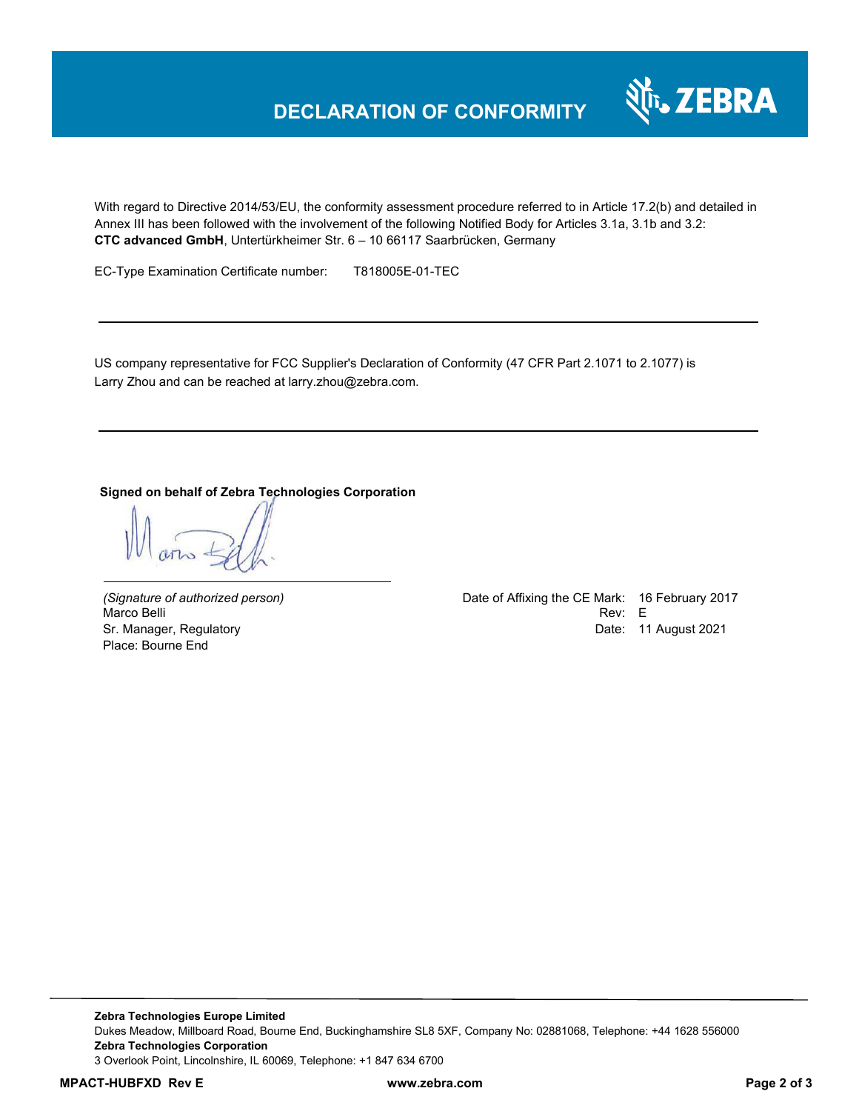# **DECLARATION OF CONFORMITY**

With regard to Directive 2014/53/EU, the conformity assessment procedure referred to in Article 17.2(b) and detailed in Annex III has been followed with the involvement of the following Notified Body for Articles 3.1a, 3.1b and 3.2: **CTC advanced GmbH**, Untertürkheimer Str. 6 – 10 66117 Saarbrücken, Germany

EC-Type Examination Certificate number: T818005E-01-TEC

US company representative for FCC Supplier's Declaration of Conformity (47 CFR Part 2.1071 to 2.1077) is Larry Zhou and can be reached at larry.zhou@zebra.com.

#### **Signed on behalf of Zebra Technologies Corporation**

Marco Belli Place: Bourne End

*(Signature of authorized person)* Date of Affixing the CE Mark: 16 February 2017 Sr. Manager, Regulatory **Date: 11 August 2021** 

र्शे<sub>ं</sub> ZEBRA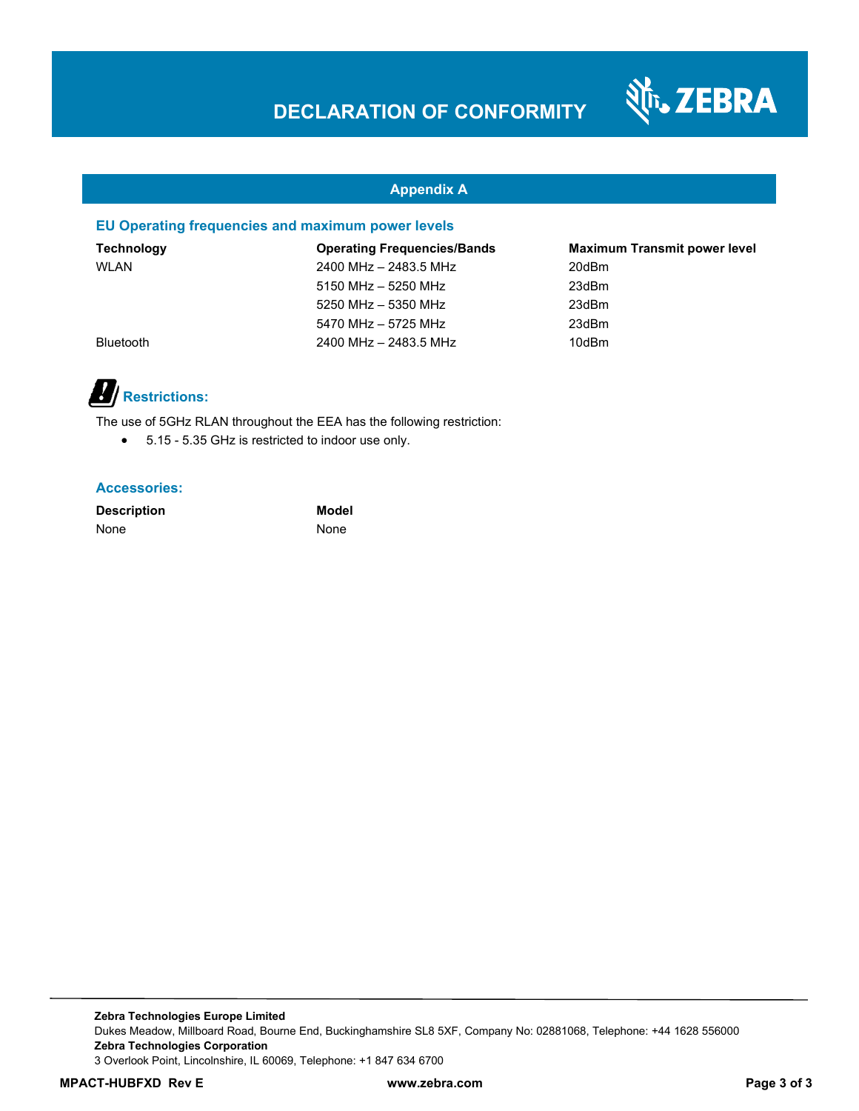

#### **Appendix A**

#### **EU Operating frequencies and maximum power levels**

| <b>Technology</b> | <b>Operating Frequencies/Bands</b> | <b>Maximum Transmit power level</b> |
|-------------------|------------------------------------|-------------------------------------|
| <b>WLAN</b>       | 2400 MHz - 2483.5 MHz              | 20dBm                               |
|                   | 5150 MHz - 5250 MHz                | 23dBm                               |
|                   | 5250 MHz - 5350 MHz                | 23dBm                               |
|                   | 5470 MHz - 5725 MHz                | 23dBm                               |
| <b>Bluetooth</b>  | 2400 MHz - 2483.5 MHz              | 10dBm                               |



The use of 5GHz RLAN throughout the EEA has the following restriction:

5.15 - 5.35 GHz is restricted to indoor use only.

#### **Accessories:**

**Description Model** None None

**Zebra Technologies Europe Limited**  Dukes Meadow, Millboard Road, Bourne End, Buckinghamshire SL8 5XF, Company No: 02881068, Telephone: +44 1628 556000 **Zebra Technologies Corporation**  3 Overlook Point, Lincolnshire, IL 60069, Telephone: +1 847 634 6700